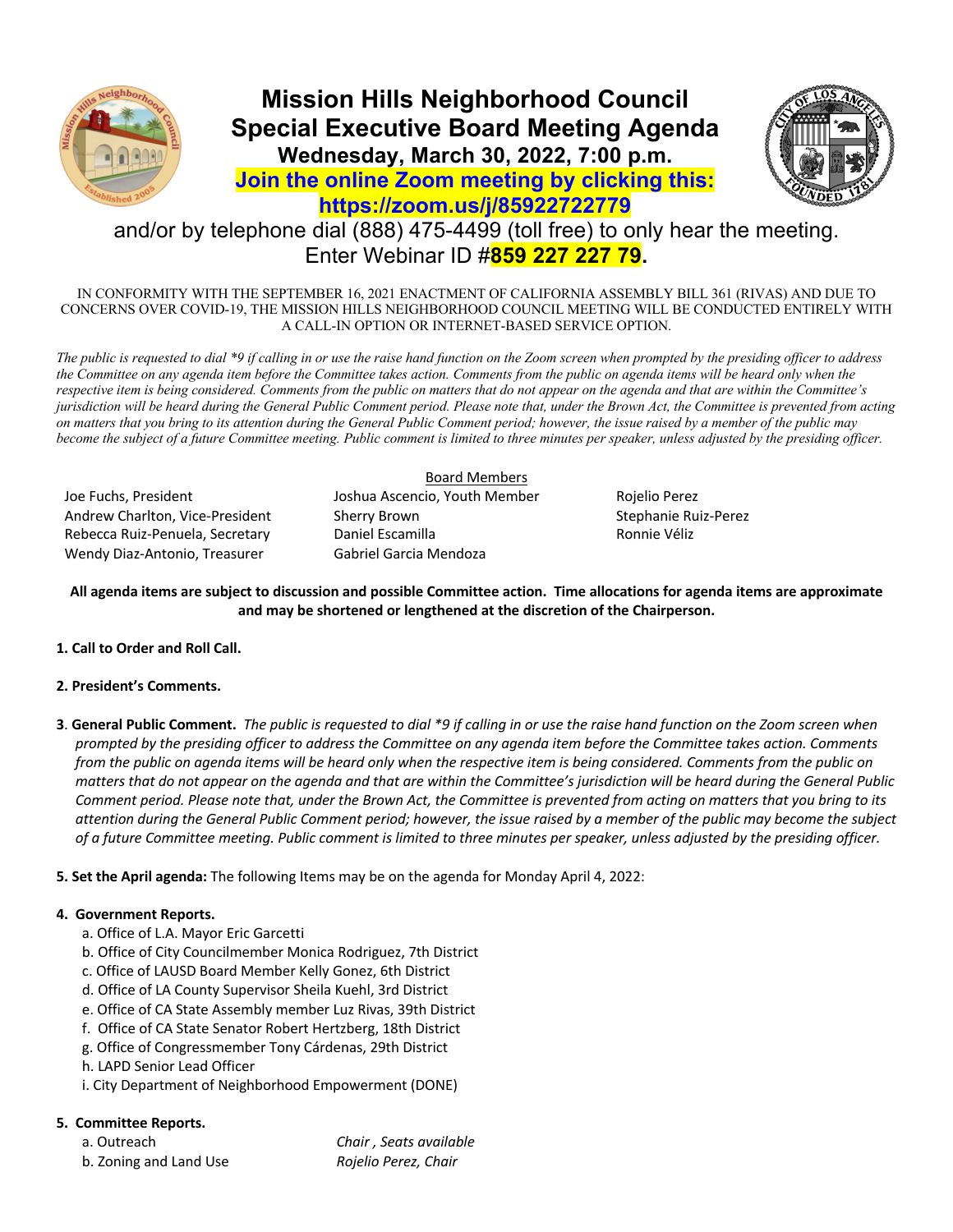

# **Mission Hills Neighborhood Council Special Executive Board Meeting Agenda Wednesday, March 30, 2022, 7:00 p.m.**



# **Join the online Zoom meeting by clicking this: https://zoom.us/j/85922722779**

# and/or by telephone dial (888) 475-4499 (toll free) to only hear the meeting. Enter Webinar ID #**859 227 227 79.**

IN CONFORMITY WITH THE SEPTEMBER 16, 2021 ENACTMENT OF CALIFORNIA ASSEMBLY BILL 361 (RIVAS) AND DUE TO CONCERNS OVER COVID-19, THE MISSION HILLS NEIGHBORHOOD COUNCIL MEETING WILL BE CONDUCTED ENTIRELY WITH A CALL-IN OPTION OR INTERNET-BASED SERVICE OPTION.

*The public is requested to dial \*9 if calling in or use the raise hand function on the Zoom screen when prompted by the presiding officer to address*  the Committee on any agenda item before the Committee takes action. Comments from the public on agenda items will be heard only when the *respective item is being considered. Comments from the public on matters that do not appear on the agenda and that are within the Committee's jurisdiction will be heard during the General Public Comment period. Please note that, under the Brown Act, the Committee is prevented from acting on matters that you bring to its attention during the General Public Comment period; however, the issue raised by a member of the public may become the subject of a future Committee meeting. Public comment is limited to three minutes per speaker, unless adjusted by the presiding officer.* 

Joe Fuchs, President Joshua Ascencio, Youth Member Rojelio Perez Andrew Charlton, Vice-President Sherry Brown Stephanie Ruiz-Perez Rebecca Ruiz-Penuela, Secretary **Daniel Escamilla** Ronnie Véliz Wendy Diaz-Antonio, Treasurer Gabriel Garcia Mendoza

Board Members

## **All agenda items are subject to discussion and possible Committee action. Time allocations for agenda items are approximate and may be shortened or lengthened at the discretion of the Chairperson.**

## **1. Call to Order and Roll Call.**

### **2. President's Comments.**

**3**. **General Public Comment.** *The public is requested to dial \*9 if calling in or use the raise hand function on the Zoom screen when prompted by the presiding officer to address the Committee on any agenda item before the Committee takes action. Comments from the public on agenda items will be heard only when the respective item is being considered. Comments from the public on matters that do not appear on the agenda and that are within the Committee's jurisdiction will be heard during the General Public Comment period. Please note that, under the Brown Act, the Committee is prevented from acting on matters that you bring to its attention during the General Public Comment period; however, the issue raised by a member of the public may become the subject of a future Committee meeting. Public comment is limited to three minutes per speaker, unless adjusted by the presiding officer.*

**5. Set the April agenda:** The following Items may be on the agenda for Monday April 4, 2022:

### **4. Government Reports.**

- a. Office of L.A. Mayor Eric Garcetti
- b. Office of City Councilmember Monica Rodriguez, 7th District
- c. Office of LAUSD Board Member Kelly Gonez, 6th District
- d. Office of LA County Supervisor Sheila Kuehl, 3rd District
- e. Office of CA State Assembly member Luz Rivas, 39th District
- f. Office of CA State Senator Robert Hertzberg, 18th District
- g. Office of Congressmember Tony Cárdenas, 29th District
- h. LAPD Senior Lead Officer
- i. City Department of Neighborhood Empowerment (DONE)

## **5. Committee Reports.**

a. Outreach *Chair , Seats available* b. Zoning and Land Use *Rojelio Perez, Chair*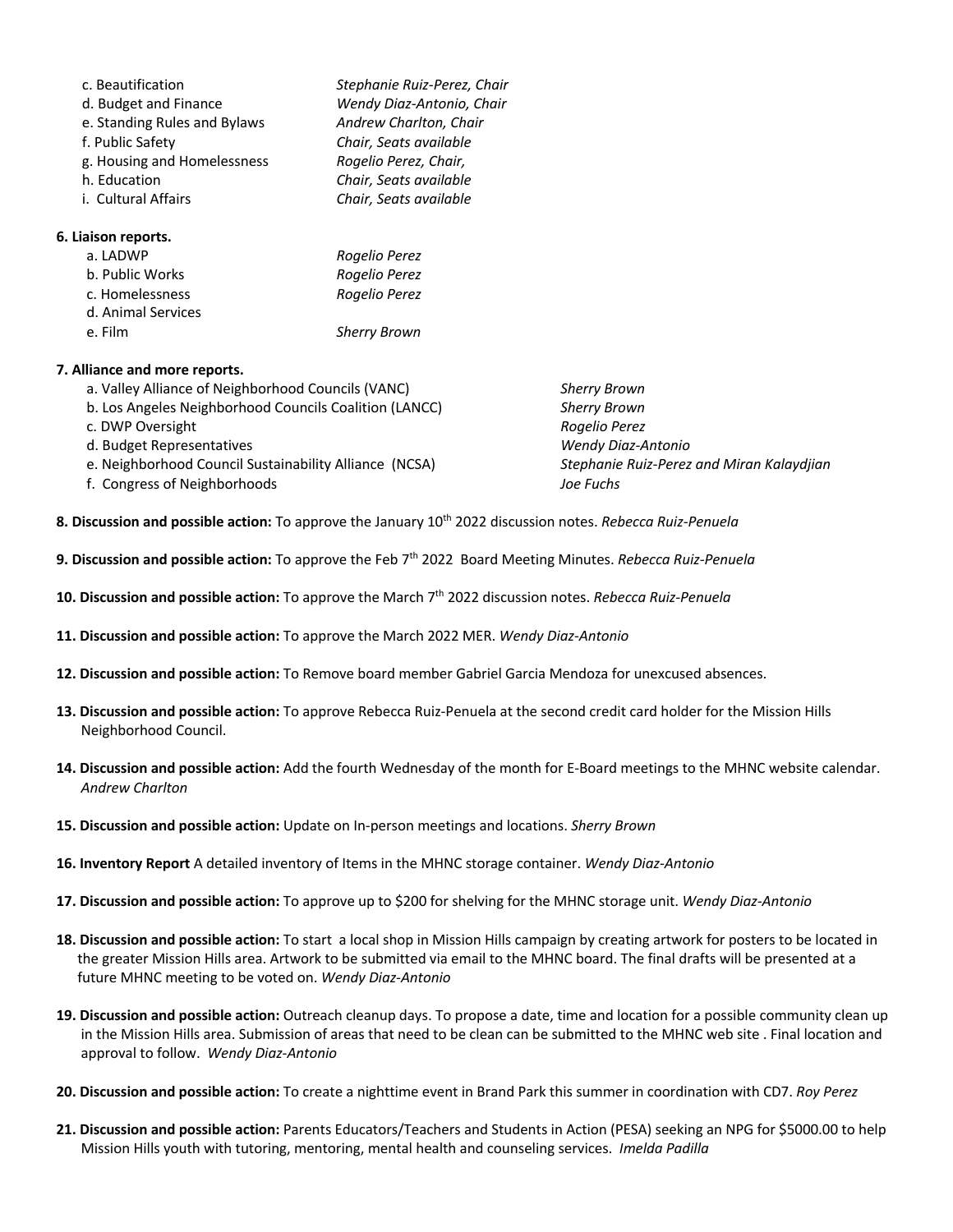| c. Beautification               | Stephanie Ruiz-Perez, Chair |
|---------------------------------|-----------------------------|
| d. Budget and Finance           | Wendy Diaz-Antonio, Chair   |
| e. Standing Rules and Bylaws    | Andrew Charlton, Chair      |
| f. Public Safety                | Chair, Seats available      |
| g. Housing and Homelessness     | Rogelio Perez, Chair,       |
| h. Education                    | Chair, Seats available      |
| i. Cultural Affairs             | Chair, Seats available      |
| 6. Liaison reports.             |                             |
| $-1$ $\wedge$ $\wedge$ $\wedge$ | n - - - It - n - - - -      |

| a. LADWP           | Rogelio Perez       |
|--------------------|---------------------|
| b. Public Works    | Rogelio Perez       |
| c. Homelessness    | Rogelio Perez       |
| d. Animal Services |                     |
| e. Film            | <b>Sherry Brown</b> |

### **7. Alliance and more reports.**

- a. Valley Alliance of Neighborhood Councils (VANC) *Sherry Brown*
- b. Los Angeles Neighborhood Councils Coalition (LANCC) *Sherry Brown* c. DWP Oversight *Rogelio Perez*
- 
- 
- f. Congress of Neighborhoods *Joe Fuchs*
- d. Budget Representatives *Wendy Diaz-Antonio* e. Neighborhood Council Sustainability Alliance (NCSA) *Stephanie Ruiz-Perez and Miran Kalaydjian*
- **8. Discussion and possible action:** To approve the January 10th 2022 discussion notes. *Rebecca Ruiz-Penuela*
- **9. Discussion and possible action:** To approve the Feb 7th 2022 Board Meeting Minutes. *Rebecca Ruiz-Penuela*
- **10. Discussion and possible action:** To approve the March 7th 2022 discussion notes. *Rebecca Ruiz-Penuela*
- **11. Discussion and possible action:** To approve the March 2022 MER. *Wendy Diaz-Antonio*
- **12. Discussion and possible action:** To Remove board member Gabriel Garcia Mendoza for unexcused absences.
- **13. Discussion and possible action:** To approve Rebecca Ruiz-Penuela at the second credit card holder for the Mission Hills Neighborhood Council.
- **14. Discussion and possible action:** Add the fourth Wednesday of the month for E-Board meetings to the MHNC website calendar.  *Andrew Charlton*
- **15. Discussion and possible action:** Update on In-person meetings and locations. *Sherry Brown*
- **16. Inventory Report** A detailed inventory of Items in the MHNC storage container. *Wendy Diaz-Antonio*
- **17. Discussion and possible action:** To approve up to \$200 for shelving for the MHNC storage unit. *Wendy Diaz-Antonio*
- **18. Discussion and possible action:** To start a local shop in Mission Hills campaign by creating artwork for posters to be located in the greater Mission Hills area. Artwork to be submitted via email to the MHNC board. The final drafts will be presented at a future MHNC meeting to be voted on. *Wendy Diaz-Antonio*
- **19. Discussion and possible action:** Outreach cleanup days. To propose a date, time and location for a possible community clean up in the Mission Hills area. Submission of areas that need to be clean can be submitted to the MHNC web site . Final location and approval to follow. *Wendy Diaz-Antonio*
- **20. Discussion and possible action:** To create a nighttime event in Brand Park this summer in coordination with CD7. *Roy Perez*
- **21. Discussion and possible action:** Parents Educators/Teachers and Students in Action (PESA) seeking an NPG for \$5000.00 to help Mission Hills youth with tutoring, mentoring, mental health and counseling services. *Imelda Padilla*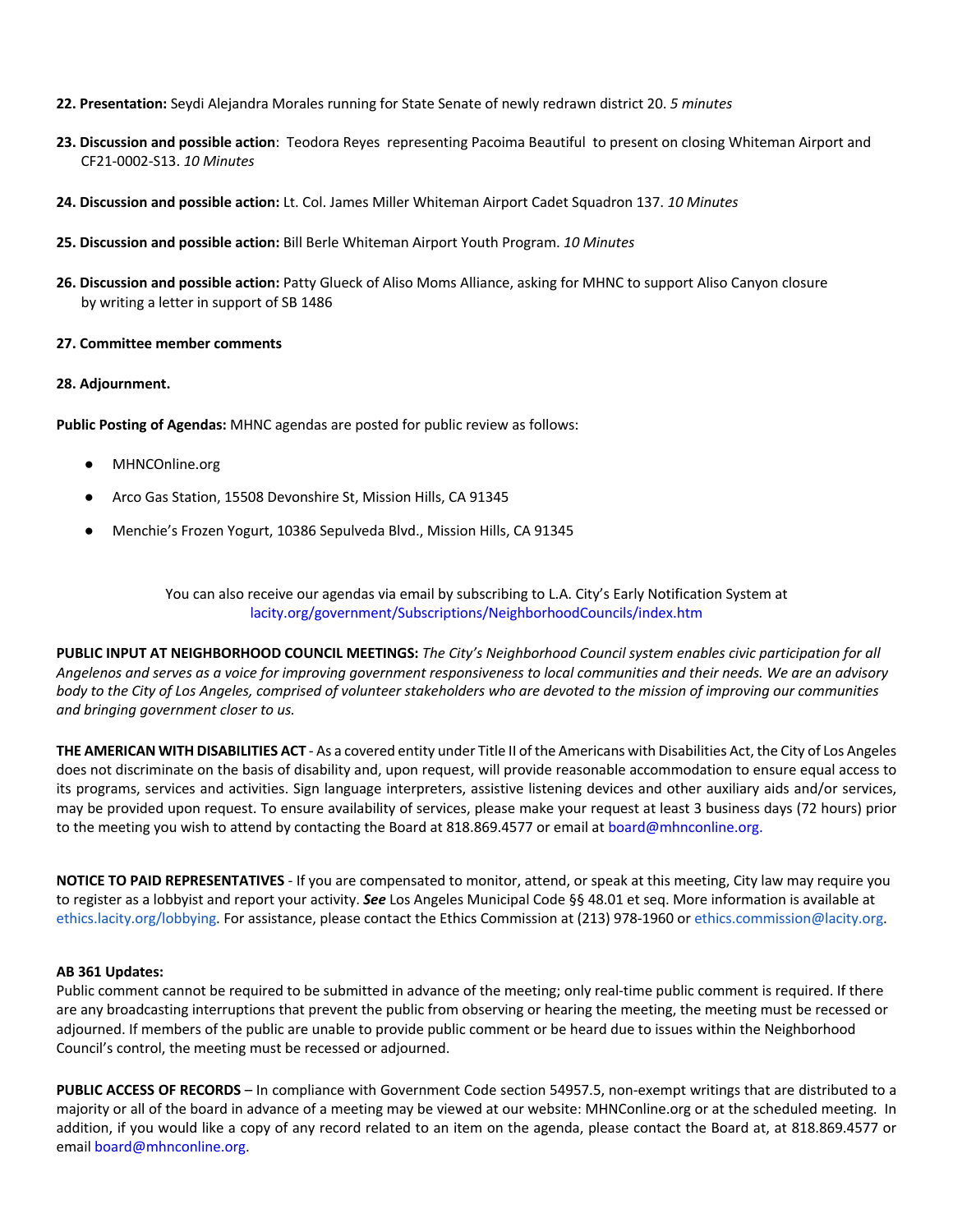- **22. Presentation:** Seydi Alejandra Morales running for State Senate of newly redrawn district 20. *5 minutes*
- **23. Discussion and possible action**: Teodora Reyes representing Pacoima Beautiful to present on closing Whiteman Airport and CF21-0002-S13. *10 Minutes*
- **24. Discussion and possible action:** Lt. Col. James Miller Whiteman Airport Cadet Squadron 137. *10 Minutes*
- **25. Discussion and possible action:** Bill Berle Whiteman Airport Youth Program. *10 Minutes*
- **26. Discussion and possible action:** Patty Glueck of Aliso Moms Alliance, asking for MHNC to support Aliso Canyon closure by writing a letter in support of SB 1486

#### **27. Committee member comments**

#### **28. Adjournment.**

**Public Posting of Agendas:** MHNC agendas are posted for public review as follows:

- MHNCOnline.org
- Arco Gas Station, 15508 Devonshire St, Mission Hills, CA 91345
- Menchie's Frozen Yogurt, 10386 Sepulveda Blvd., Mission Hills, CA 91345

You can also receive our agendas via email by subscribing to L.A. City's Early Notification System at lacity.org/government/Subscriptions/NeighborhoodCouncils/index.htm

**PUBLIC INPUT AT NEIGHBORHOOD COUNCIL MEETINGS:** *The City's Neighborhood Council system enables civic participation for all Angelenos and serves as a voice for improving government responsiveness to local communities and their needs. We are an advisory body to the City of Los Angeles, comprised of volunteer stakeholders who are devoted to the mission of improving our communities and bringing government closer to us.* 

**THE AMERICAN WITH DISABILITIES ACT** - As a covered entity under Title II of the Americans with Disabilities Act, the City of Los Angeles does not discriminate on the basis of disability and, upon request, will provide reasonable accommodation to ensure equal access to its programs, services and activities. Sign language interpreters, assistive listening devices and other auxiliary aids and/or services, may be provided upon request. To ensure availability of services, please make your request at least 3 business days (72 hours) prior to the meeting you wish to attend by contacting the Board at 818.869.4577 or email at board@mhnconline.org.

**NOTICE TO PAID REPRESENTATIVES** - If you are compensated to monitor, attend, or speak at this meeting, City law may require you to register as a lobbyist and report your activity. *See* Los Angeles Municipal Code §§ 48.01 et seq. More information is available at ethics.lacity.org/lobbying. For assistance, please contact the Ethics Commission at (213) 978-1960 or ethics.commission@lacity.org.

#### **AB 361 Updates:**

Public comment cannot be required to be submitted in advance of the meeting; only real-time public comment is required. If there are any broadcasting interruptions that prevent the public from observing or hearing the meeting, the meeting must be recessed or adjourned. If members of the public are unable to provide public comment or be heard due to issues within the Neighborhood Council's control, the meeting must be recessed or adjourned.

**PUBLIC ACCESS OF RECORDS** – In compliance with Government Code section 54957.5, non-exempt writings that are distributed to a majority or all of the board in advance of a meeting may be viewed at our website: MHNConline.org or at the scheduled meeting. In addition, if you would like a copy of any record related to an item on the agenda, please contact the Board at, at 818.869.4577 or email board@mhnconline.org.